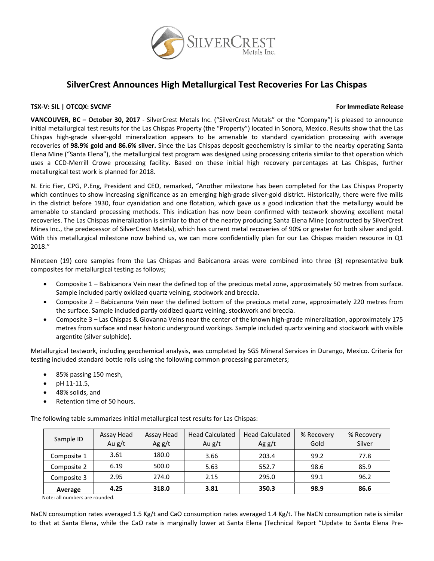

# **SilverCrest Announces High Metallurgical Test Recoveries For Las Chispas**

## **TSX‐V: SIL | OTCQX: SVCMF For Immediate Release**

**VANCOUVER, BC – October 30, 2017** ‐ SilverCrest Metals Inc. ("SilverCrest Metals" or the "Company") is pleased to announce initial metallurgical test results for the Las Chispas Property (the "Property") located in Sonora, Mexico. Results show that the Las Chispas high‐grade silver‐gold mineralization appears to be amenable to standard cyanidation processing with average recoveries of **98.9% gold and 86.6% silver.** Since the Las Chispas deposit geochemistry is similar to the nearby operating Santa Elena Mine ("Santa Elena"), the metallurgical test program was designed using processing criteria similar to that operation which uses a CCD‐Merrill Crowe processing facility. Based on these initial high recovery percentages at Las Chispas, further metallurgical test work is planned for 2018.

N. Eric Fier, CPG, P.Eng, President and CEO, remarked, "Another milestone has been completed for the Las Chispas Property which continues to show increasing significance as an emerging high‐grade silver‐gold district. Historically, there were five mills in the district before 1930, four cyanidation and one flotation, which gave us a good indication that the metallurgy would be amenable to standard processing methods. This indication has now been confirmed with testwork showing excellent metal recoveries. The Las Chispas mineralization is similar to that of the nearby producing Santa Elena Mine (constructed by SilverCrest Mines Inc., the predecessor of SilverCrest Metals), which has current metal recoveries of 90% or greater for both silver and gold. With this metallurgical milestone now behind us, we can more confidentially plan for our Las Chispas maiden resource in Q1 2018."

Nineteen (19) core samples from the Las Chispas and Babicanora areas were combined into three (3) representative bulk composites for metallurgical testing as follows;

- Composite 1 Babicanora Vein near the defined top of the precious metal zone, approximately 50 metres from surface. Sample included partly oxidized quartz veining, stockwork and breccia.
- Composite 2 Babicanora Vein near the defined bottom of the precious metal zone, approximately 220 metres from the surface. Sample included partly oxidized quartz veining, stockwork and breccia.
- Composite 3 Las Chispas & Giovanna Veins near the center of the known high‐grade mineralization, approximately 175 metres from surface and near historic underground workings. Sample included quartz veining and stockwork with visible argentite (silver sulphide).

Metallurgical testwork, including geochemical analysis, was completed by SGS Mineral Services in Durango, Mexico. Criteria for testing included standard bottle rolls using the following common processing parameters;

- 85% passing 150 mesh,
- $\bullet$  pH 11-11.5,
- 48% solids, and
- Retention time of 50 hours.

The following table summarizes initial metallurgical test results for Las Chispas:

| Sample ID   | Assay Head<br>Au $g/t$ | Assay Head<br>Ag $g/t$ | <b>Head Calculated</b><br>Au $g/t$ | <b>Head Calculated</b><br>Ag $g/t$ | % Recovery<br>Gold | % Recovery<br>Silver |
|-------------|------------------------|------------------------|------------------------------------|------------------------------------|--------------------|----------------------|
| Composite 1 | 3.61                   | 180.0                  | 3.66                               | 203.4                              | 99.2               | 77.8                 |
| Composite 2 | 6.19                   | 500.0                  | 5.63                               | 552.7                              | 98.6               | 85.9                 |
| Composite 3 | 2.95                   | 274.0                  | 2.15                               | 295.0                              | 99.1               | 96.2                 |
| Average     | 4.25                   | 318.0                  | 3.81                               | 350.3                              | 98.9               | 86.6                 |

Note: all numbers are rounded.

NaCN consumption rates averaged 1.5 Kg/t and CaO consumption rates averaged 1.4 Kg/t. The NaCN consumption rate is similar to that at Santa Elena, while the CaO rate is marginally lower at Santa Elena (Technical Report "Update to Santa Elena Pre‐